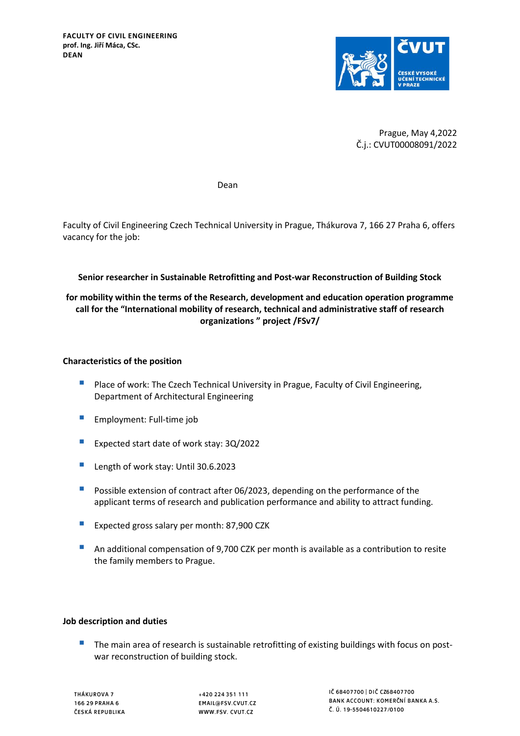

Prague, May 4,2022 Č.j.: CVUT00008091/2022

Dean

Faculty of Civil Engineering Czech Technical University in Prague, Thákurova 7, 166 27 Praha 6, offers vacancy for the job:

# **Senior researcher in Sustainable Retrofitting and Post-war Reconstruction of Building Stock**

# **for mobility within the terms of the Research, development and education operation programme call for the "International mobility of research, technical and administrative staff of research organizations " project /FSv7/**

### **Characteristics of the position**

- Place of work: The Czech Technical University in Prague, Faculty of Civil Engineering, Department of Architectural Engineering
- Employment: Full-time job
- Expected start date of work stay: 3Q/2022
- Length of work stay: Until 30.6.2023
- Possible extension of contract after 06/2023, depending on the performance of the applicant terms of research and publication performance and ability to attract funding.
- Expected gross salary per month: 87,900 CZK
- An additional compensation of 9,700 CZK per month is available as a contribution to resite the family members to Prague.

### **Job description and duties**

The main area of research is sustainable retrofitting of existing buildings with focus on postwar reconstruction of building stock.

THÁKUROVA 7 166 29 PRAHA 6 ČESKÁ REPUBLIKA +420 224 351 111 EMAIL@FSV.CVUT.CZ WWW.FSV. CVUT.CZ

IČ 68407700 | DIČ CZ68407700 BANK ACCOUNT: KOMERČNÍ BANKA A.S. Č. Ú. 19-5504610227/0100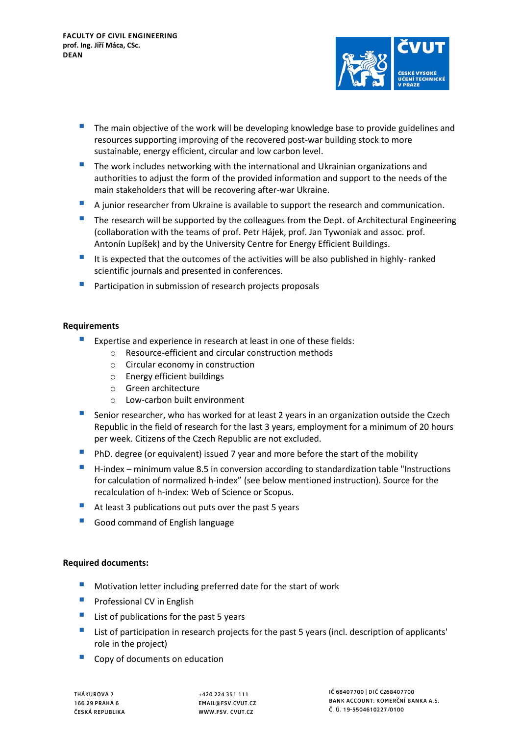

- **The main objective of the work will be developing knowledge base to provide guidelines and** resources supporting improving of the recovered post-war building stock to more sustainable, energy efficient, circular and low carbon level.
- The work includes networking with the international and Ukrainian organizations and authorities to adjust the form of the provided information and support to the needs of the main stakeholders that will be recovering after-war Ukraine.
- A junior researcher from Ukraine is available to support the research and communication.
- The research will be supported by the colleagues from the Dept. of Architectural Engineering (collaboration with the teams of prof. Petr Hájek, prof. Jan Tywoniak and assoc. prof. Antonín Lupíšek) and by the University Centre for Energy Efficient Buildings.
- It is expected that the outcomes of the activities will be also published in highly- ranked scientific journals and presented in conferences.
- Participation in submission of research projects proposals

### **Requirements**

- Expertise and experience in research at least in one of these fields:
	- o Resource-efficient and circular construction methods
	- o Circular economy in construction
	- o Energy efficient buildings
	- o Green architecture
	- o Low-carbon built environment
- Senior researcher, who has worked for at least 2 years in an organization outside the Czech Republic in the field of research for the last 3 years, employment for a minimum of 20 hours per week. Citizens of the Czech Republic are not excluded.
- PhD. degree (or equivalent) issued 7 year and more before the start of the mobility
- $\blacksquare$  H-index minimum value 8.5 in conversion according to standardization table "Instructions for calculation of normalized h-index" (see below mentioned instruction). Source for the recalculation of h-index: Web of Science or Scopus.
- At least 3 publications out puts over the past 5 years
- Good command of English language

### **Required documents:**

- $\blacksquare$  Motivation letter including preferred date for the start of work
- **Professional CV in English**
- $\blacksquare$  List of publications for the past 5 years
- List of participation in research projects for the past 5 years (incl. description of applicants' role in the project)
- Copy of documents on education